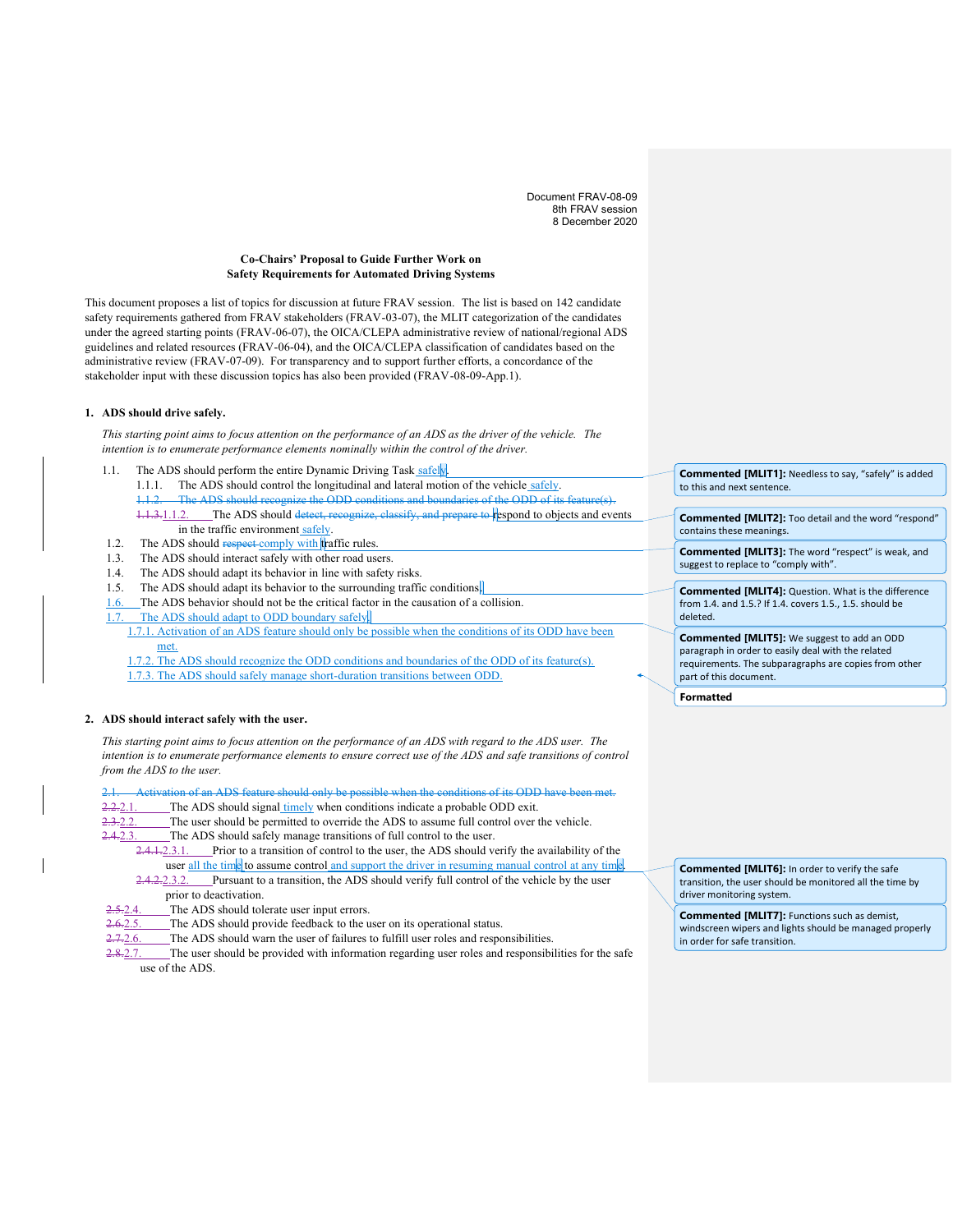Document FRAV-08-09 8th FRAV session 8 December 2020

## **Co-Chairs' Proposal to Guide Further Work on Safety Requirements for Automated Driving Systems**

This document proposes a list of topics for discussion at future FRAV session. The list is based on 142 candidate safety requirements gathered from FRAV stakeholders (FRAV-03-07), the MLIT categorization of the candidates under the agreed starting points (FRAV-06-07), the OICA/CLEPA administrative review of national/regional ADS guidelines and related resources (FRAV-06-04), and the OICA/CLEPA classification of candidates based on the administrative review (FRAV-07-09). For transparency and to support further efforts, a concordance of the stakeholder input with these discussion topics has also been provided (FRAV-08-09-App.1).

### **1. ADS should drive safely.**

*This starting point aims to focus attention on the performance of an ADS as the driver of the vehicle. The intention is to enumerate performance elements nominally within the control of the driver.*

- 1.1. The ADS should perform the entire Dynamic Driving Task safely. 1.1.1. The ADS should control the longitudinal and lateral motion of the vehicle safely. ADS should recognize the ODD conditions and boundaries of the ODD of its ADS should recognize the ODD of its and the MUS 1.1.3.1.1.2. The ADS should detect, recognize, classify, and prepare to respond to objects and events in the traffic environment safely.
- 1.2. The ADS should respect comply with traffic rules.
- 1.3. The ADS should interact safely with other road users.
- 1.4. The ADS should adapt its behavior in line with safety risks.
- 1.5. The ADS should adapt its behavior to the surrounding traffic conditions.
- 1.6. The ADS behavior should not be the critical factor in the causation of a collision.
- The ADS should adapt to ODD boundary safely.
- 1.7.1. Activation of an ADS feature should only be possible when the conditions of its ODD have been met.
- 1.7.2. The ADS should recognize the ODD conditions and boundaries of the ODD of its feature(s). 1.7.3. The ADS should safely manage short-duration transitions between ODD.

# **2. ADS should interact safely with the user.**

*This starting point aims to focus attention on the performance of an ADS with regard to the ADS user. The intention is to enumerate performance elements to ensure correct use of the ADS and safe transitions of control from the ADS to the user.*

Activation of an ADS feature should only be possible when the conditions of its ODD hav

2.2.2.1. The ADS should signal timely when conditions indicate a probable ODD exit.

2.3.2.2. The user should be permitted to override the ADS to assume full control over the vehicle.

2.4.2.3. The ADS should safely manage transitions of full control to the user.

2.4.1.2.3.1. Prior to a transition of control to the user, the ADS should verify the availability of the

user <u>all the time</u> to assume control and support the driver in resuming manual control at any time.<br>2.4.2.2.3.2. Pursuant to a transition, the ADS should verify full control of the vehicle by the user Pursuant to a transition, the ADS should verify full control of the vehicle by the user prior to deactivation.

- The ADS should tolerate user input errors.
- 2.6.2.5. The ADS should provide feedback to the user on its operational status.

2.7.2.6. The ADS should warn the user of failures to fulfill user roles and responsibilities.

2.8.2.7. The user should be provided with information regarding user roles and responsibilities for the safe use of the ADS.

**Commented [MLIT1]:** Needless to say, "safely" is added to this and next sentence.

**Commented [MLIT2]:** Too detail and the word "respond" contains these meanings.

**Commented [MLIT3]:** The word "respect" is weak, and suggest to replace to "comply with".

**Commented [MLIT4]:** Question. What is the difference from 1.4. and 1.5.? If 1.4. covers 1.5., 1.5. should be deleted.

**Commented [MLIT5]:** We suggest to add an ODD paragraph in order to easily deal with the related requirements. The subparagraphs are copies from other part of this document.

**Formatted**

**Commented [MLIT6]:** In order to verify the safe transition, the user should be monitored all the time by driver monitoring system.

**Commented [MLIT7]:** Functions such as demist, windscreen wipers and lights should be managed properly in order for safe transition.